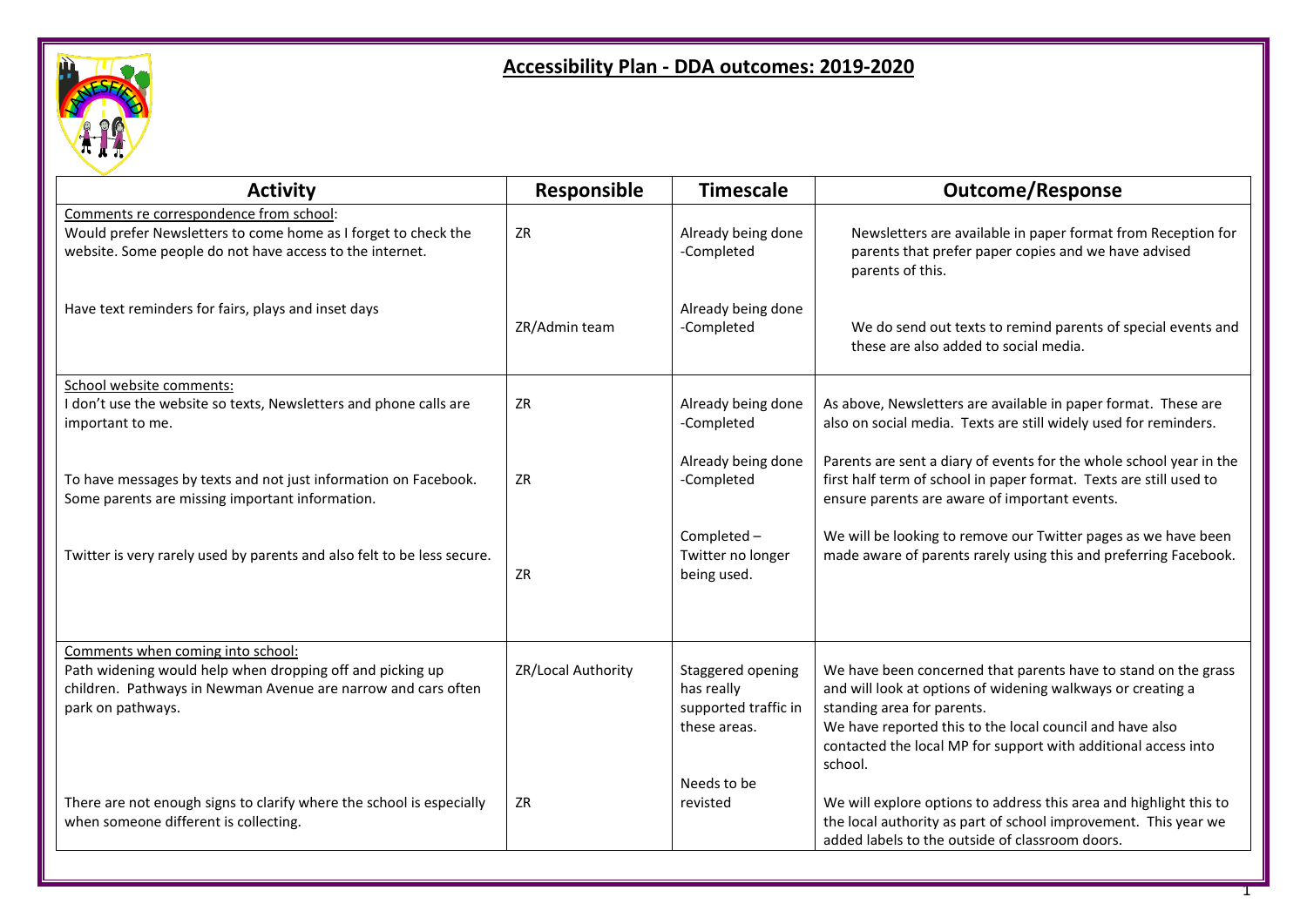

## **Accessibility Plan - DDA outcomes: 2019-2020**

| <b>Activity</b>                                                                                                                                                                      | Responsible        | <b>Timescale</b>                                                        | <b>Outcome/Response</b>                                                                                                                                                                                                                                                                              |
|--------------------------------------------------------------------------------------------------------------------------------------------------------------------------------------|--------------------|-------------------------------------------------------------------------|------------------------------------------------------------------------------------------------------------------------------------------------------------------------------------------------------------------------------------------------------------------------------------------------------|
| Comments re correspondence from school:<br>Would prefer Newsletters to come home as I forget to check the<br>website. Some people do not have access to the internet.                | ZR                 | Already being done<br>-Completed                                        | Newsletters are available in paper format from Reception for<br>parents that prefer paper copies and we have advised<br>parents of this.                                                                                                                                                             |
| Have text reminders for fairs, plays and inset days                                                                                                                                  | ZR/Admin team      | Already being done<br>-Completed                                        | We do send out texts to remind parents of special events and<br>these are also added to social media.                                                                                                                                                                                                |
| School website comments:<br>I don't use the website so texts, Newsletters and phone calls are<br>important to me.                                                                    | <b>ZR</b>          | Already being done<br>-Completed                                        | As above, Newsletters are available in paper format. These are<br>also on social media. Texts are still widely used for reminders.                                                                                                                                                                   |
| To have messages by texts and not just information on Facebook.<br>Some parents are missing important information.                                                                   | ZR                 | Already being done<br>-Completed                                        | Parents are sent a diary of events for the whole school year in the<br>first half term of school in paper format. Texts are still used to<br>ensure parents are aware of important events.                                                                                                           |
| Twitter is very rarely used by parents and also felt to be less secure.                                                                                                              | ZR                 | Completed -<br>Twitter no longer<br>being used.                         | We will be looking to remove our Twitter pages as we have been<br>made aware of parents rarely using this and preferring Facebook.                                                                                                                                                                   |
| Comments when coming into school:<br>Path widening would help when dropping off and picking up<br>children. Pathways in Newman Avenue are narrow and cars often<br>park on pathways. | ZR/Local Authority | Staggered opening<br>has really<br>supported traffic in<br>these areas. | We have been concerned that parents have to stand on the grass<br>and will look at options of widening walkways or creating a<br>standing area for parents.<br>We have reported this to the local council and have also<br>contacted the local MP for support with additional access into<br>school. |
| There are not enough signs to clarify where the school is especially<br>when someone different is collecting.                                                                        | ZR                 | Needs to be<br>revisted                                                 | We will explore options to address this area and highlight this to<br>the local authority as part of school improvement. This year we<br>added labels to the outside of classroom doors.                                                                                                             |